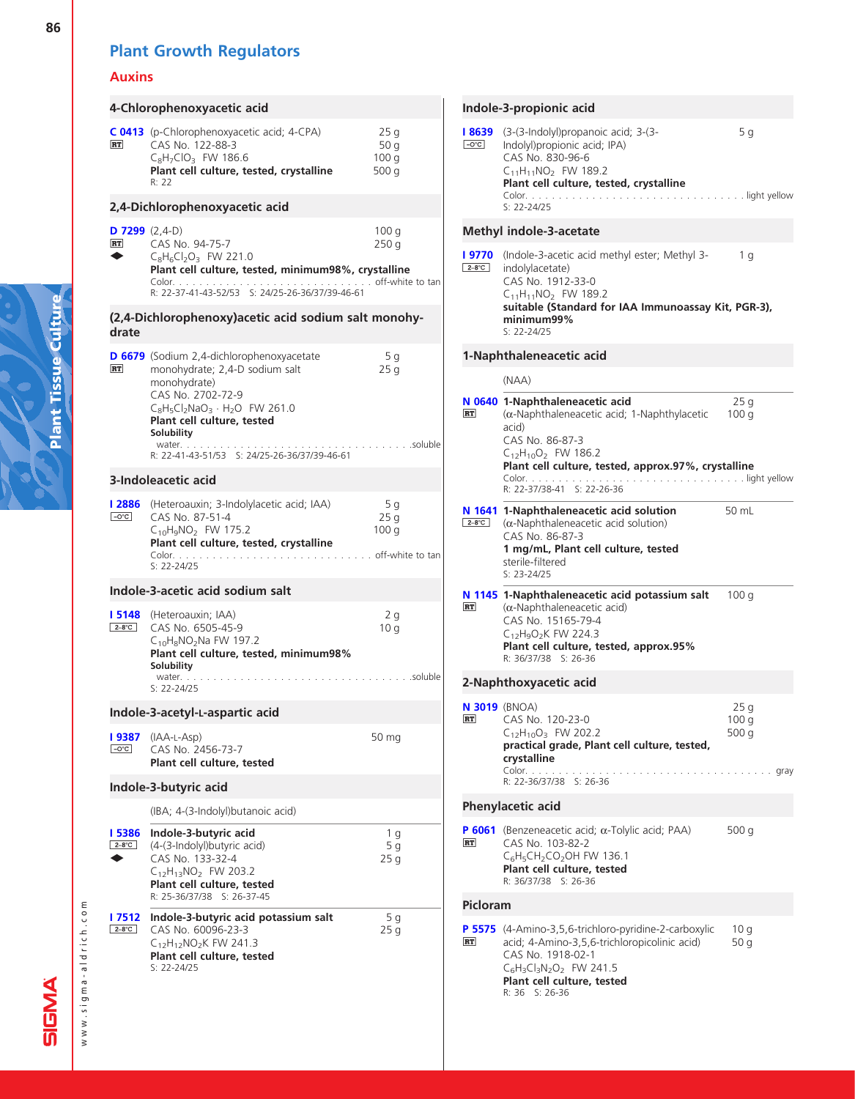## Auxins

|                               | 4-Chlorophenoxyacetic acid                                                                                                                                                                                                                                             |                                           |
|-------------------------------|------------------------------------------------------------------------------------------------------------------------------------------------------------------------------------------------------------------------------------------------------------------------|-------------------------------------------|
| RT                            | C 0413 (p-Chlorophenoxyacetic acid; 4-CPA)<br>CAS No. 122-88-3<br>$C_8H_7ClO_3$ FW 186.6<br>Plant cell culture, tested, crystalline<br>R: 22                                                                                                                           | 25q<br>50 g<br>100q<br>500 g              |
|                               | 2,4-Dichlorophenoxyacetic acid                                                                                                                                                                                                                                         |                                           |
| <b>D 7299</b> $(2,4-D)$<br>RT | CAS No. 94-75-7<br>$C_8H_6Cl_2O_3$ FW 221.0<br>Plant cell culture, tested, minimum98%, crystalline<br>R: 22-37-41-43-52/53 S: 24/25-26-36/37/39-46-61                                                                                                                  | 100q<br>250q                              |
| drate                         | (2,4-Dichlorophenoxy) acetic acid sodium salt monohy-                                                                                                                                                                                                                  |                                           |
| RT                            | <b>D 6679</b> (Sodium 2,4-dichlorophenoxyacetate<br>monohydrate; 2,4-D sodium salt<br>monohydrate)<br>CAS No. 2702-72-9<br>$C_8H_5Cl_2NaO_3 \cdot H_2O$ FW 261.0<br>Plant cell culture, tested<br>Solubility<br>water.<br>R: 22-41-43-51/53 S: 24/25-26-36/37/39-46-61 | 5 g<br>25q<br>$\ldots$ soluble            |
|                               | 3-Indoleacetic acid                                                                                                                                                                                                                                                    |                                           |
| l 2886<br>$-O^{\circ}C$       | (Heteroauxin; 3-Indolylacetic acid; IAA)<br>CAS No. 87-51-4<br>$C_{10}H_9NO_2$ FW 175.2<br>Plant cell culture, tested, crystalline<br>Color.<br>$S: 22 - 24/25$                                                                                                        | - 5 g<br>25q<br>100 g<br>off-white to tan |
|                               | Indole-3-acetic acid sodium salt                                                                                                                                                                                                                                       |                                           |
| l 5148<br>$2-8$ °C            | (Heteroauxin; IAA)<br>CAS No. 6505-45-9<br>$C_{10}H_8NO_2$ Na FW 197.2<br>Plant cell culture, tested, minimum98%<br>Solubility<br>water.<br>$S: 22 - 24/25$                                                                                                            | 2q<br>10q<br>.soluble                     |
|                               | Indole-3-acetyl-L-aspartic acid                                                                                                                                                                                                                                        |                                           |
| l 9387<br>$-O^{\circ}C$       | $(IAA-L-Asp)$<br>CAS No. 2456-73-7<br>Plant cell culture, tested                                                                                                                                                                                                       | 50 mg                                     |
|                               | Indole-3-butyric acid                                                                                                                                                                                                                                                  |                                           |
|                               | (IBA; 4-(3-Indolyl)butanoic acid)                                                                                                                                                                                                                                      |                                           |
| <b>I 5386</b><br>$2-8$ °C     | Indole-3-butyric acid<br>(4-(3-Indolyl) butyric acid)<br>CAS No. 133-32-4<br>$C_{12}H_{13}NO_2$ FW 203.2<br>Plant cell culture, tested<br>R: 25-36/37/38 S: 26-37-45                                                                                                   | 1 g<br>5 <sub>g</sub><br>25 g             |
| l 7512<br>$2-8$ °C            | Indole-3-butyric acid potassium salt<br>CAS No. 60096-23-3<br>$C_{12}H_{12}NO_2K$ FW 241.3<br>Plant cell culture, tested<br>S: 22-24/25                                                                                                                                | 5 g<br>25 g                               |

|                         | Indole-3-propionic acid                                                                                                                                                                                      |                                            |
|-------------------------|--------------------------------------------------------------------------------------------------------------------------------------------------------------------------------------------------------------|--------------------------------------------|
| l 8639<br>$-0^{\circ}C$ | (3-(3-Indolyl)propanoic acid; 3-(3-<br>Indolyl) propionic acid; IPA)<br>CAS No. 830-96-6<br>$C_{11}H_{11}NO_2$ FW 189.2<br>Plant cell culture, tested, crystalline<br>$S: 22 - 24/25$                        | 5 g                                        |
|                         | <b>Methyl indole-3-acetate</b>                                                                                                                                                                               |                                            |
| l 9770<br>$2-8$ °C      | (Indole-3-acetic acid methyl ester; Methyl 3-<br>indolylacetate)<br>CAS No. 1912-33-0<br>$C_{11}H_{11}NO_2$ FW 189.2<br>suitable (Standard for IAA Immunoassay Kit, PGR-3),<br>minimum99%<br>$S: 22 - 24/25$ | 1 g                                        |
|                         | 1-Naphthaleneacetic acid                                                                                                                                                                                     |                                            |
|                         | (NAA)                                                                                                                                                                                                        |                                            |
| RT                      | N 0640 1-Naphthaleneacetic acid<br>$(\alpha$ -Naphthaleneacetic acid; 1-Naphthylacetic<br>acid)<br>CAS No. 86-87-3<br>C <sub>12</sub> H <sub>10</sub> O <sub>2</sub> FW 186.2                                | 25 g<br>100q                               |
|                         | Plant cell culture, tested, approx.97%, crystalline<br>R: 22-37/38-41 S: 22-26-36                                                                                                                            |                                            |
| $2-8$ °C                | N 1641 1-Naphthaleneacetic acid solution<br>$(\alpha$ -Naphthaleneacetic acid solution)<br>CAS No. 86-87-3<br>1 mg/mL, Plant cell culture, tested<br>sterile-filtered<br>$S: 23 - 24/25$                     | 50 mL                                      |
| RT                      | N 1145 1-Naphthaleneacetic acid potassium salt<br>$(\alpha$ -Naphthaleneacetic acid)<br>CAS No. 15165-79-4<br>$C_{12}H_9O_2K$ FW 224.3<br>Plant cell culture, tested, approx.95%<br>R: 36/37/38 S: 26-36     | 100q                                       |
|                         | 2-Naphthoxyacetic acid                                                                                                                                                                                       |                                            |
| <b>RT</b>               | <b>N 3019</b> (BNOA)<br>CAS No. 120-23-0<br>$C_{12}H_{10}O_3$ FW 202.2<br>practical grade, Plant cell culture, tested,<br>crystalline<br>Color.<br>R: 22-36/37/38 S: 26-36                                   | 25q<br>100 <sub>q</sub><br>500 g<br>. gray |
|                         | Phenylacetic acid                                                                                                                                                                                            |                                            |
| <b>RT</b>               | <b>P 6061</b> (Benzeneacetic acid; $\alpha$ -Tolylic acid; PAA)<br>CAS No. 103-82-2<br>$C_6H_5CH_2CO_2OH$ FW 136.1<br>Plant cell culture, tested<br>R: 36/37/38 S: 26-36                                     | 500 g                                      |
| Picloram                |                                                                                                                                                                                                              |                                            |
| RT                      | P 5575 (4-Amino-3,5,6-trichloro-pyridine-2-carboxylic<br>acid; 4-Amino-3,5,6-trichloropicolinic acid)<br>CAS No. 1918-02-1<br>$C_6H_3Cl_3N_2O_2$ FW 241.5<br>Plant cell culture, tested<br>R: 36 S: 26-36    | 10q<br>50 g                                |

www.sigma-aldrich.com

www.sigma-aldrich.com

**SIGMA**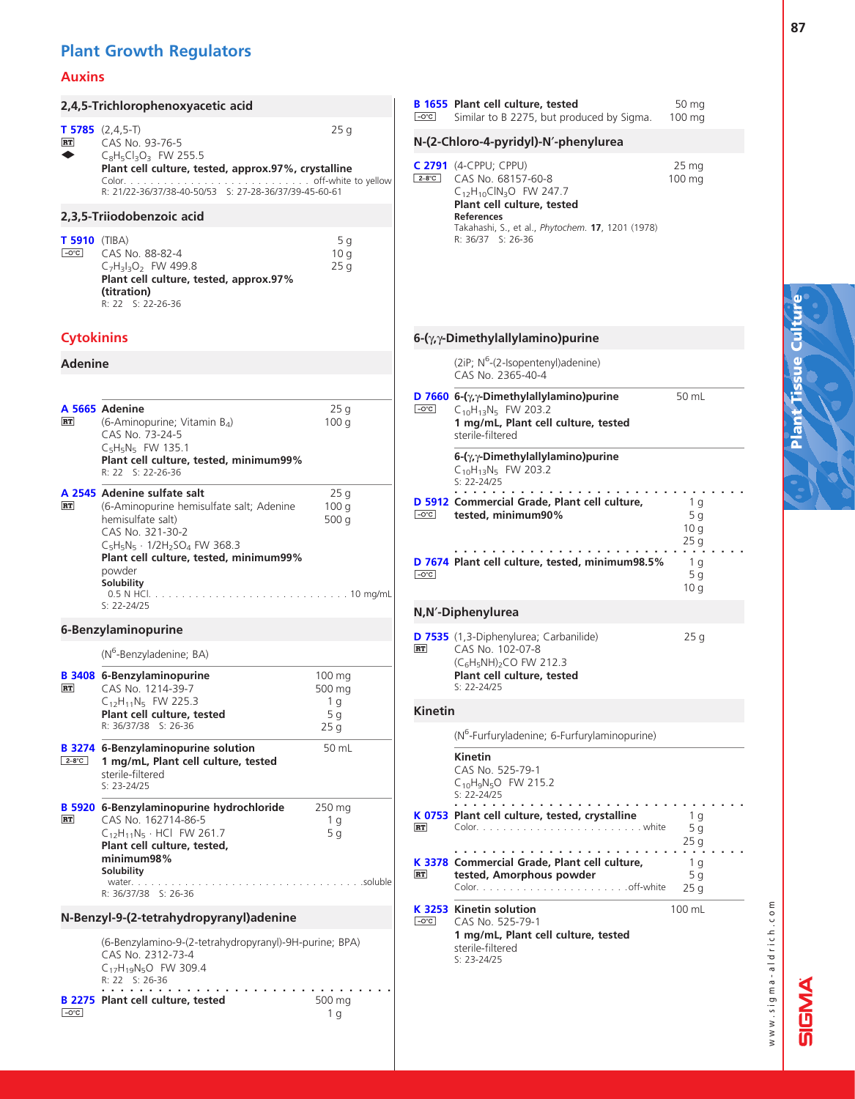#### Auxins

|                                  | 2,4,5-Trichlorophenoxyacetic acid                                                                                                                                  |                                 | $-O^{\circ}C$  | <b>B</b> 1655 Plant cell culture, tested<br>Similar to B 2275, but prod                                                |
|----------------------------------|--------------------------------------------------------------------------------------------------------------------------------------------------------------------|---------------------------------|----------------|------------------------------------------------------------------------------------------------------------------------|
| RT                               | <b>T 5785</b> $(2,4,5-T)$<br>CAS No. 93-76-5                                                                                                                       | 25 <sub>g</sub>                 |                | N-(2-Chloro-4-pyridyl)-N'-phe                                                                                          |
|                                  | $C_8H_5Cl_3O_3$ FW 255.5<br>Plant cell culture, tested, approx.97%, crystalline<br>R: 21/22-36/37/38-40-50/53 S: 27-28-36/37/39-45-60-61                           |                                 | $2-8$ °C       | C 2791 (4-CPPU; CPPU)<br>CAS No. 68157-60-8<br>$C_{12}H_{10}CIN_3O$ FW 247.7<br>Plant cell culture, tested             |
|                                  | 2,3,5-Triiodobenzoic acid                                                                                                                                          |                                 |                | <b>References</b><br>Takahashi, S., et al., Phytochei                                                                  |
| $T 5910$ (TIBA)<br>$-0^{\circ}C$ | CAS No. 88-82-4<br>$C_7H_3I_3O_2$ FW 499.8<br>Plant cell culture, tested, approx.97%<br>(titration)<br>R: 22 S: 22-26-36                                           | 5q<br>10q<br>25g                |                | R: 36/37 S: 26-36                                                                                                      |
| <b>Cytokinins</b>                |                                                                                                                                                                    |                                 |                | 6-(y, y-Dimethylallylamino)pu                                                                                          |
| <b>Adenine</b>                   |                                                                                                                                                                    |                                 |                | (2iP; N <sup>6</sup> -(2-Isopentenyl)ade<br>CAS No. 2365-40-4                                                          |
|                                  |                                                                                                                                                                    |                                 |                | D 7660 6- $(\gamma, \gamma$ -Dimethylallylamino                                                                        |
| RT                               | A 5665 Adenine<br>(6-Aminopurine; Vitamin $B_4$ )<br>CAS No. 73-24-5<br>$C_5H_5N_5$ FW 135.1                                                                       | 25q<br>100q                     | $-O^{\circ}C$  | $C_{10}H_{13}N_5$ FW 203.2<br>1 mg/mL, Plant cell cultu<br>sterile-filtered                                            |
|                                  | Plant cell culture, tested, minimum99%<br>R: 22 S: 22-26-36                                                                                                        |                                 |                | 6- $(\gamma, \gamma$ -Dimethylallylamino<br>C <sub>10</sub> H <sub>13</sub> N <sub>5</sub> FW 203.2<br>$S: 22 - 24/25$ |
| <b>RT</b>                        | A 2545 Adenine sulfate salt<br>(6-Aminopurine hemisulfate salt; Adenine<br>hemisulfate salt)<br>CAS No. 321-30-2<br>$C_5H_5N_5 \cdot 1/2H_2SO_4$ FW 368.3          | 25q<br>100q<br>500 $q$          | $-O^{\circ}C$  | $\sim$ 100 $\sim$ 100 $\sim$<br>D 5912 Commercial Grade, Plant<br>tested, minimum90%                                   |
|                                  | Plant cell culture, tested, minimum99%<br>powder<br>Solubility                                                                                                     |                                 | $-0^{\circ}C$  | D 7674 Plant cell culture, tested                                                                                      |
|                                  | $S: 22 - 24/25$                                                                                                                                                    |                                 |                | N, N'-Diphenylurea                                                                                                     |
|                                  | 6-Benzylaminopurine                                                                                                                                                |                                 | RT             | D 7535 (1,3-Diphenylurea; Carbani<br>CAS No. 102-07-8                                                                  |
| <b>RT</b>                        | (N <sup>6</sup> -Benzyladenine; BA)<br><b>B 3408 6-Benzylaminopurine</b><br>CAS No. 1214-39-7                                                                      | 100 mg<br>500 mg                |                | $(C_6H_5NH)_2CO$ FW 212.3<br>Plant cell culture, tested<br>$S: 22 - 24/25$                                             |
|                                  | $C_{12}H_{11}N_5$ FW 225.3<br>Plant cell culture, tested                                                                                                           | 1 g<br>5 g                      | <b>Kinetin</b> |                                                                                                                        |
|                                  | R: 36/37/38 S: 26-36                                                                                                                                               | 25q                             |                | (N <sup>6</sup> -Furfuryladenine; 6-Furf                                                                               |
| $2-8^{\circ}$ C                  | <b>B</b> 3274 6-Benzylaminopurine solution<br>1 mg/mL, Plant cell culture, tested<br>sterile-filtered<br>$S: 23-24/25$                                             | 50 mL                           |                | Kinetin<br>CAS No. 525-79-1<br>C <sub>10</sub> H <sub>9</sub> N <sub>5</sub> O FW 215.2<br>$S: 22 - 24/25$             |
| RT                               | B 5920 6-Benzylaminopurine hydrochloride<br>CAS No. 162714-86-5<br>$C_{12}H_{11}N_5 \cdot HCl$ FW 261.7<br>Plant cell culture, tested,<br>minimum98%<br>Solubility | 250 mg<br>1 g<br>5 <sub>q</sub> | RT             | .<br>K 0753 Plant cell culture, tested<br>$Color.$<br>.<br>K 3378 Commercial Grade, Plant                              |
|                                  | water.<br>R: 36/37/38 S: 26-36                                                                                                                                     |                                 | <b>RT</b>      | tested, Amorphous pow<br>Color.                                                                                        |
|                                  | N-Benzyl-9-(2-tetrahydropyranyl)adenine                                                                                                                            |                                 | $-O^{\circ}C$  | K 3253 Kinetin solution<br>CAS No. 525-79-1                                                                            |
|                                  | (6-Benzylamino-9-(2-tetrahydropyranyl)-9H-purine; BPA)<br>CAS No. 2312-73-4<br>$C_{17}H_{19}N_5O$ FW 309.4<br>R: 22 S: 26-36                                       |                                 |                | 1 mg/mL, Plant cell cultu<br>sterile-filtered<br>$S: 23-24/25$                                                         |
| $\boxed{-O^{\circ}C}$            | <b>B 2275 Plant cell culture, tested</b>                                                                                                                           | 500 mg<br>1 g                   |                |                                                                                                                        |

50 mg 100 mg 275, but produced by Sigma. dyl)-N'-phenylurea 25 mg 100 mg  $U$ 57-60-8 FW 247.7 lture, tested t al., Phytochem. **17**, 1201 (1978)  $5 - 36$ lamino)purine pentenyl)adenine) 5-40-4 **[D 7660](http://www.sigma-aldrich.com/ProductLookup.html?ProdNo=D7660&Brand=SIGMA) 6-(**y,y-**Dimethylallylamino)purine** 50 mL<br>Feed CoddiaNe EW 203 2  $(203.2)$ ant cell culture, teste<mark>d</mark> nylallylamino)purine  $203.2$ ............................... 1 g 5 g 10 g  $25 \,\mathrm{g}$ . Grade, Plant cell culture, mum90% ............................... 1 g 5 g 10 g lture, tested, minimum98.5% **[D 7535](http://www.sigma-aldrich.com/ProductLookup.html?ProdNo=D7535&Brand=SIGMA)** (1,3-Diphenylurea; Carbanilide) 25 g  $-07 - 8$ FW 212.3 lture, tested lenine; 6-Furfurylaminopurine)  $-79-1$ V 215.2 ............................... 1 g 5 g  $25 g$ Iture, tested, crystalline Color. . . . . . . . . . . . . . . . . . . . . . . . . white ............................... 1 g 5 g 25 g Grade, Plant cell culture, rphous powder . . . . . . . . . . . . . . . . . . off-white 100 mL tion  $-79-1$ ant cell culture, teste<mark>d</mark>

www.sigma-aldrich.com www.sigma-aldrich.com

**A<br>D<br>D** 

ັທົ

Plant Tissue Culture

**Tissue** 

Plant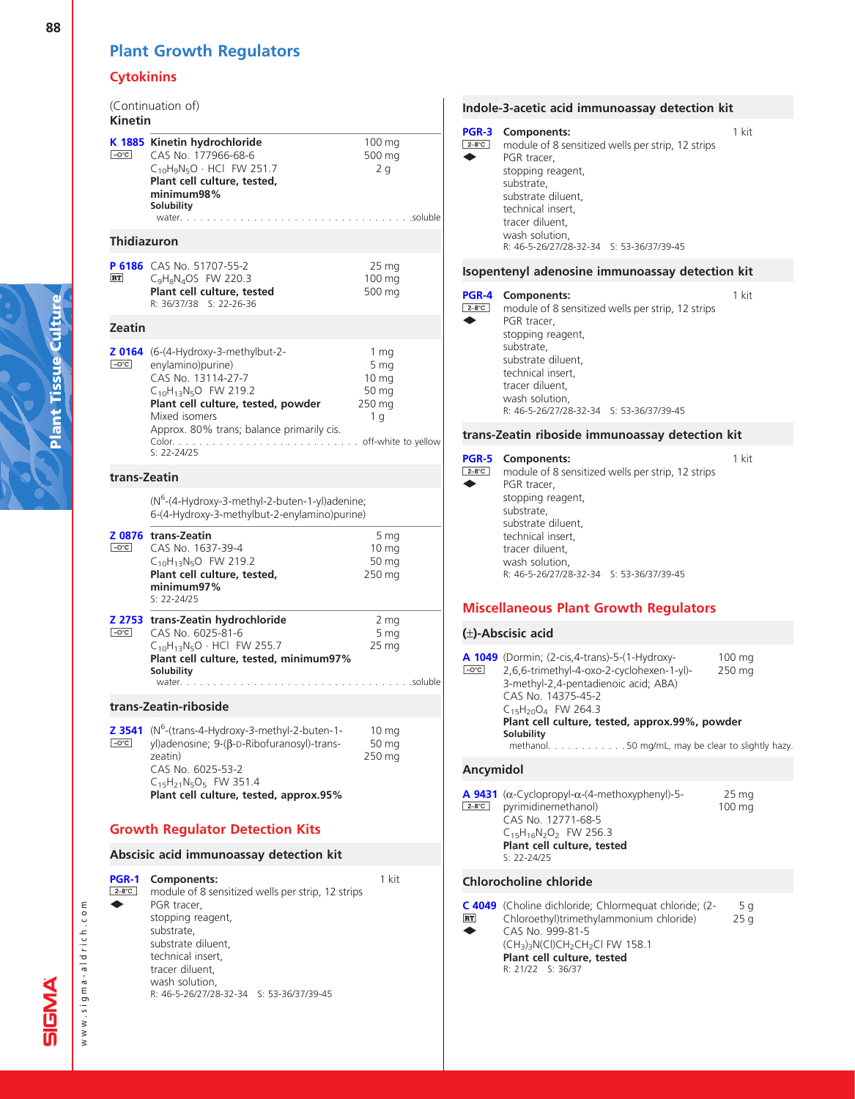## **Cytokinins**

| <b>Kinetin</b>          | (Continuation of)                                                                                                                                                                                                                                                      |                                                                                    |         |
|-------------------------|------------------------------------------------------------------------------------------------------------------------------------------------------------------------------------------------------------------------------------------------------------------------|------------------------------------------------------------------------------------|---------|
| $\boxed{-O^{\circ}C}$   | K 1885 Kinetin hydrochloride<br>CAS No. 177966-68-6<br>$C_{10}H_9N_5O \cdot HCl$ FW 251.7<br>Plant cell culture, tested,<br>minimum98%<br>Solubility<br>water.                                                                                                         | 100 mg<br>500 mg<br>2q<br>. soluble                                                |         |
| <b>Thidiazuron</b>      |                                                                                                                                                                                                                                                                        |                                                                                    |         |
| <b>RT</b>               | P 6186 CAS No. 51707-55-2<br>$C_9H_8N_4OS$ FW 220.3<br>Plant cell culture, tested<br>R: 36/37/38 S: 22-26-36                                                                                                                                                           | 25 mg<br>100 mg<br>500 mg                                                          |         |
| <b>Zeatin</b>           |                                                                                                                                                                                                                                                                        |                                                                                    |         |
| $\boxed{-O^{\circ}C}$   | $20164$ (6-(4-Hydroxy-3-methylbut-2-<br>enylamino)purine)<br>CAS No. 13114-27-7<br>$C_{10}H_{13}N_5O$ FW 219.2<br>Plant cell culture, tested, powder<br>Mixed isomers<br>Approx. 80% trans; balance primarily cis.<br>off-white to yellow<br>Color.<br>$S: 22 - 24/25$ | 1 <sub>mg</sub><br>5 mg<br>$10 \,\mathrm{mg}$<br>50 mg<br>250 mg<br>1 <sub>q</sub> |         |
| trans-Zeatin            |                                                                                                                                                                                                                                                                        |                                                                                    |         |
|                         | (N <sup>6</sup> -(4-Hydroxy-3-methyl-2-buten-1-yl)adenine;<br>6-(4-Hydroxy-3-methylbut-2-enylamino)purine)                                                                                                                                                             |                                                                                    |         |
| $\boxed{-O^{\circ}C}$   | Z 0876 trans-Zeatin<br>CAS No. 1637-39-4<br>$C_{10}H_{13}N_5O$ FW 219.2<br>Plant cell culture, tested,<br>minimum97%<br>$S: 22 - 24/25$                                                                                                                                | 5 mg<br>10 <sub>mg</sub><br>50 mg<br>250 mg                                        |         |
| $-O^{\circ}C$           | Z 2753 trans-Zeatin hydrochloride<br>CAS No. 6025-81-6<br>$C_{10}H_{13}N_5O \cdot HCl$ FW 255.7<br>Plant cell culture, tested, minimum97%<br>Solubility<br>water                                                                                                       | 2 mg<br>5 mg<br>25 <sub>mg</sub>                                                   | soluble |
|                         | trans-Zeatin-riboside                                                                                                                                                                                                                                                  |                                                                                    |         |
| Z 3541<br>$-C^{\circ}C$ | (N <sup>6</sup> -(trans-4-Hydroxy-3-methyl-2-buten-1-<br>yl)adenosine; 9-(β-D-Ribofuranosyl)-trans-<br>zeatin)<br>CAS No. 6025-53-2<br>$C_{15}H_{21}N_5O_5$ FW 351.4<br>Plant cell culture, tested, approx.95%                                                         | 10 <sub>mg</sub><br>50 mg<br>250 mg                                                |         |
|                         | <b>Growth Regulator Detection Kits</b>                                                                                                                                                                                                                                 |                                                                                    |         |
|                         | Abscisic acid immunoassay detection kit                                                                                                                                                                                                                                |                                                                                    |         |
| PGR-1<br>$2-8^{\circ}C$ | Components:<br>module of 8 sensitized wells per strip, 12 strips<br>PGR tracer,<br>stopping reagent,<br>substrate,<br>substrate diluent,                                                                                                                               | 1 kit                                                                              |         |

### Indole-3-acetic acid immunoassay detection kit

| PGR-3<br>$2-8$ °C | <b>Components:</b><br>PGR tracer,<br>stopping reagent,<br>substrate,<br>substrate diluent,<br>technical insert,<br>tracer diluent,<br>wash solution,<br>R: 46-5-26/27/28-32-34 S: 53-36/37/39-45 | module of 8 sensitized wells per strip, 12 strips | 1 kit |
|-------------------|--------------------------------------------------------------------------------------------------------------------------------------------------------------------------------------------------|---------------------------------------------------|-------|
|                   |                                                                                                                                                                                                  | Isopentenyl adenosine immunoassay detection kit   |       |

#### [PGR-4](http://www.sigma-aldrich.com/ProductLookup.html?ProdNo=PGR4&Brand=SIGMA) Components:

| PGR-4                  | <b>Components:</b>                       |                                                   | 1 kit |
|------------------------|------------------------------------------|---------------------------------------------------|-------|
| $2 - 8^\circ \text{C}$ |                                          | module of 8 sensitized wells per strip, 12 strips |       |
|                        | PGR tracer,                              |                                                   |       |
|                        | stopping reagent,                        |                                                   |       |
|                        | substrate,                               |                                                   |       |
|                        | substrate diluent,                       |                                                   |       |
|                        | technical insert,                        |                                                   |       |
|                        | tracer diluent,                          |                                                   |       |
|                        | wash solution,                           |                                                   |       |
|                        | R: 46-5-26/27/28-32-34 S: 53-36/37/39-45 |                                                   |       |

#### trans-Zeatin riboside immunoassay detection kit

| $2-8$ °C | <b>PGR-5</b> Components:<br>module of 8 sensitized wells per strip, 12 strips<br>PGR tracer,<br>stopping reagent,<br>substrate,<br>substrate diluent, |  |  |
|----------|-------------------------------------------------------------------------------------------------------------------------------------------------------|--|--|
|          | technical insert,<br>tracer diluent,<br>wash solution,<br>$R: 46-5-26/27/28-32-34$ S: 53-36/37/39-45                                                  |  |  |

#### Miscellaneous Plant Growth Regulators

#### (–)-Abscisic acid

| $-0^{\circ}$ C | <b>A 1049</b> (Dormin; (2-cis, 4-trans)-5-(1-Hydroxy-<br>2,6,6-trimethyl-4-oxo-2-cyclohexen-1-yl)-<br>3-methyl-2,4-pentadienoic acid; ABA)<br>CAS No. 14375-45-2<br>$C_{15}H_{20}O_{4}$ FW 264.3<br>Plant cell culture, tested, approx.99%, powder<br>Solubility<br>methanol. $\ldots$ 50 mg/mL, may be clear to slightly hazy. | 100 mg<br>250 mg |
|----------------|---------------------------------------------------------------------------------------------------------------------------------------------------------------------------------------------------------------------------------------------------------------------------------------------------------------------------------|------------------|
|                |                                                                                                                                                                                                                                                                                                                                 |                  |

#### Ancymidol

| <b>A 9431</b> ( $\alpha$ -Cyclopropyl- $\alpha$ -(4-methoxyphenyl)-5- | 25 <sub>mg</sub> |
|-----------------------------------------------------------------------|------------------|
| $2-8^{\circ}C$ pyrimidinemethanol)                                    | 100 mg           |
| CAS No. 12771-68-5                                                    |                  |
| $C_{15}H_{16}N_2O_2$ FW 256.3                                         |                  |
| Plant cell culture, tested                                            |                  |
| $S: 22 - 24/25$                                                       |                  |
|                                                                       |                  |

#### Chlorocholine chloride

|           | C 4049 (Choline dichloride; Chlormeguat chloride; (2- | 5 g |
|-----------|-------------------------------------------------------|-----|
| <b>RT</b> | Chloroethyl)trimethylammonium chloride)               | 25q |
| $\bullet$ | CAS No. 999-81-5                                      |     |
|           | $(CH3)3N(Cl)CH2CH2Cl$ FW 158.1                        |     |
|           | Plant cell culture, tested                            |     |
|           | R: 21/22 S: 36/37                                     |     |
|           |                                                       |     |

www.sigma-aldrich.com

www.sigma-aldrich.com

technical insert, tracer diluent, wash solution,

R: 46-5-26/27/28-32-34 S: 53-36/37/39-45